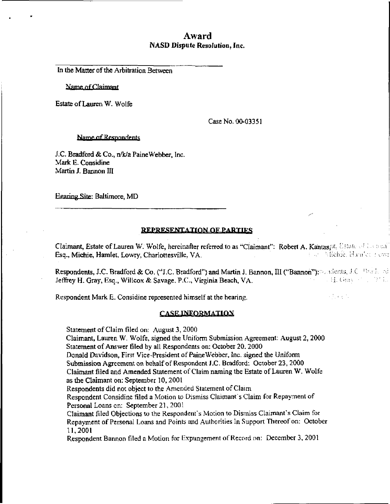# Award NASD Dispute Resolution, Inc.

In the Matter of the Arbitration Between

Name of Claimant

Estate of Lauren W. Wolfe

Case No. 00-03351

Name of Respondents

J.C. Bradford & Co., n/k/a Paine Webber, Inc. Mark E. Considine Martin J. Bannon III

Hearing Site: Baltimore, MD

## REPRESENTATION OF PARTIES

Claimant, Estate of Lauren W. Wolfe, hereinafter referred to as "Claimant": Robert A. Kantas, it, Estute et les peal Esq., Michie, Hamlet, Lowry, Charlottesville, VA. i an Affabie, Hamby, Eowr

Respondents, J.C. Bradford & Co. ("J.C. Bradford") and Martin J. Bannon, III ("Bannon"): and states, J.C. Bradin ad Jeffrey H. Gray, Esq., Willcox & Savage. P.C., Virginia Beach, VA. ; i (; ii (; ii)  $\mathcal{G}_\mathcal{G}$  (; iii)  $\mathcal{G}_\mathcal{G}$  (; iii)  $\mathcal{G}_\mathcal{G}$  (; iii)  $\mathcal{G}_\mathcal{G}$  (; iii)

Respondent Mark E. Considine represented himself at the hearing.

## **CASE INFORMATION**

Statement of Claim filed on: August 3, 2000

Claimant, Lauren W. Wolfe, signed the Uniform Submission Agreement: August 2, 2000 Statement of Answer filed by all Respondents on: October 20.2000

Donald Davidson, First Vice-President of Paine Webber, Inc. signed the Uniform

Submission Agreement on behalf of Respondent J.C. Bradford: October 23, 2000

Claimant filed and Amended Statement of Claim naming the Estate of Lauren W. Wolfe as the Claimant on: September 10,2001

Respondents did not object to the Amended Statement of Claim

Respondent Considine filed a Motion lo Dismiss Claimant's Claim for Repayment of Personal Loans on: September 21, 2001

Claimant filed Objections to the Respondent's Motion to Dismiss Claimant's Claim for Repayment of Personal Loans and Points and Authorities In Support Thereof on: October 11,2001

Respondent Bannon filed a Motion for Expimgement of Record on: December 3, 2001

 $\mathcal{L}^1_{\mathcal{L}}$  and  $\mathcal{L}^1_{\mathcal{L}}$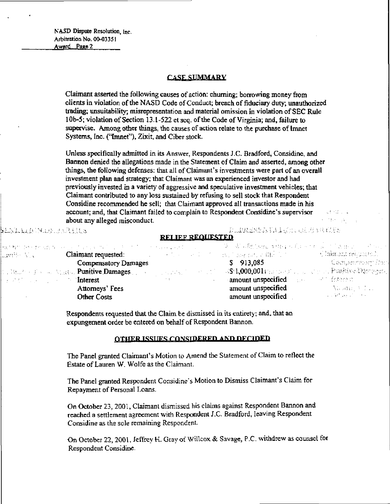BAQLA A PERSONALIA A

## **CASE SUMMARY**

Claimant asserted the following causes of action: churning; borrowing money from clients in violation of the NASD Code of Conduct; breach of fiduciary duty; unauthorized trading; unsuitability; misrepresentation and material omission in violation of SEC Rule 10b-5; violation of Section 13.1-522 et seq. of the Code of Virginia; and, failure to supervise. Among other things, the causes of action relate to the purchase of Imnet Systems, Inc. ("Imnet"), Zixit, and Ciber stock.

Unless specifically admitted in its Answer. Respondents J.C. Bradford, Considine, and Bannon denied the allegations made in the Statement of Claim and asserted, among other things, the following defenses: that all of Claimant's investments were part of an overall investment plan and strategy; that Claimant was an experienced investor and had previously invested in a variety of aggressive and speculative investment vehicles; that Claimant contributed to any loss sustained by refusing to sell stock that Respondent Considine recommended he sell; that Claimant approved all transactions made in his account; and, that Claimant failed to complain to Respondent Considine's supervisor about any alleged misconduct.

at Kristia

#### PORTHER PARTIES AND PROPER **REI IEF REQUESTED**

|                      |                             |                                            | - スー 法 同部分の経行の特性になる エックオール・デー きせんこう アドレース                                                                                                                                                                                                                                                                        |
|----------------------|-----------------------------|--------------------------------------------|------------------------------------------------------------------------------------------------------------------------------------------------------------------------------------------------------------------------------------------------------------------------------------------------------------------|
|                      |                             |                                            |                                                                                                                                                                                                                                                                                                                  |
| Compensatory Damages |                             | $5$ 913,085                                | - Compartment Dank                                                                                                                                                                                                                                                                                               |
|                      |                             |                                            |                                                                                                                                                                                                                                                                                                                  |
|                      | <b>Contractor</b>           | <b>amount unspecified</b> and the festered |                                                                                                                                                                                                                                                                                                                  |
| Attomeys' Fees       |                             | amount unspecified                         | – Alemn <sub>i</sub> v Pol                                                                                                                                                                                                                                                                                       |
| <b>Other Costs</b>   |                             | amount unspecified                         | Committee of the Committee of the                                                                                                                                                                                                                                                                                |
|                      | <b>Example 2.1 Interest</b> |                                            | 大教師 ひかえあらぬ ないらい くろなん にけいしょうち こうしつ とうはな えんどうしょう ハード<br>– Claimant requested: And All Andreas And All And All And All And All And All And All And All And All And All A<br>, Brush of County, Rue <b>, Punitive Damages</b> , The County of County of C <b>St1,000,001</b> Candon's , Later on Punitive Dampson, ∥ |

Respondents requested that the Claim be dismissed in its entirety; and, that an expungernent order be entered on behalf of Respondent Bannon.

## OTHER ISSUES CONSIDERED AND DECIDED

The Panel granted Claimant's Motion to Amend the Statement of Claim to reflect the Estate of Lauren W. Wolfe as the Claimant.

The Panel granted Respondent Considine's Motion to Dismiss Claimant's Claim for Repayment of Personal Loans.

On October 23, 2001, Claimant dismissed his claims against Respondent Bannon and reached a settlement agreement with Respondent J.C. Bradford. leaving Respondent Considine as the sole remaining Respondent.

On October 22, 2001, Jeffrey H. Gray of Willcox & Savage, P.C. withdrew as counsel for Respondent Considine.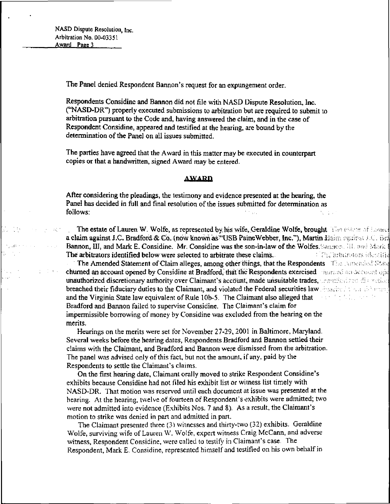The Panel denied Respondent Bannon's request for an expungement order.

Respondents Considine and Bannon did not file with NASD Dispute Resolution, Inc. ("NASD-DR") properly executed submissions to arbitration but are required to submit 10 arbitration pursuant to the Code and, having answered the claim, and in the case of Respondent Considine, appeared and testified at the hearing, are bound by the determination of the Panel on all issues submitted.

The parties have agreed that the Award in this matter may be executed in counterpart copies or that a handwritten, signed Award may be entered.

#### **AWARD**

After considering the pleadings, the testimony and evidence presented at the hearing, the Pane! has decided in full and final resolution of the issues submitted for determination as follows: follows: in the contract of the contract of the contract of the contract of the contract of the contract of the

The estate of Lauren W. Wolfe, as represented by, his wife, Geraldine Wolfe, brought. The estate of Equal a claim against J.C. Bradford & Co. (now known as "USB Paine Webber, Inc."), Martin Haim excurs J.C. Bra Bannon, III, and Mark E. Considine. Mr. Considine was the son-in-law of the Wolfes. Sangon, III. and Mark 1 The arbitrators identified below were selected to arbitrate these claims. Produced arbitrators identified

The Amended Statement of Claim alleges, among other things, that the Respondents filler suberided State churned an account opened by Considine at Bradford, that the Respondents exercised an account operators unauthorized discretionary authority over Claimant's account, made unsuitable trades, acquisitate discretion breached their fiduciary duties to the Claimant, and violated the Federal securities law resolved them the many  $\alpha$  is a function of  $\alpha$  . The set of  $\alpha$ and the Virginia State law equivalent of Rule 10b-5. The Claimant also alleged that Bradford and Bannon failed to supervise Considine. The Claimant's claim for impermissible borrowing of money by Considine was excluded from the hearing on the merits.

Hearings on the merits were set for November 27-29, 2001 in Baltimore, Maryland. Several weeks before the hearing dates, Respondents Bradford and Bannon settled their claims with the Claimant, and Bradford and Bannon were dismissed from the arbitration. The panel was advised only of this fact, but not the amount, if any, paid by the Respondents to settle the Claimant's claims.

On the first hearing date, Claimant orally moved to strike Respondent Considine's exhibits because Considine had not filed his exhibit list or witness list timely with NASD-DR. That motion was reserved until each document at issue was presented at the hearing. At the hearing, twelve of fourteen of Respondent's exhibits were admitted; were not admitted into evidence (Exhibits Nos. 7 and 8), As a result, the Claimant's motion to strike was denied in part and admitted in pan.

The Claimant presented three (3) witnesses and thirty-two (32) exhibits. Geraldine Wolfe, surviving wife of Lauren W. Wolfe, expert witness Craig McCann, and adverse witness, Respondent Considine, were called to testify in Claimant's case. The Respondent, Mark £. Considine, represented himself and testified on his own behalf in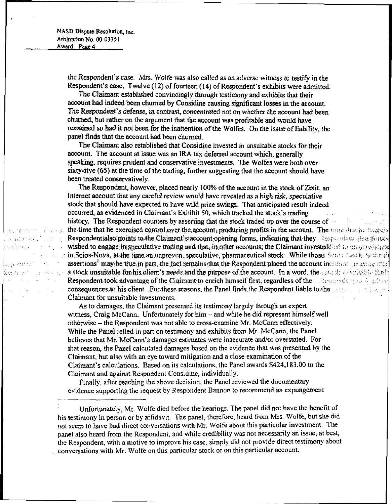kan amang kabupatèn Dealer Roll and e Worlds I. F. F.

egodita i fi verne article of the  $\delta_{\rm{max}}=3\pi_{\rm{max}}\sim 10^{-5}$ 

 $\label{eq:3.1} \mathcal{L}(\mathcal{H}) = \mathcal{L}(\mathcal{H}) = \mathcal{L}(\mathcal{H})$ 

the Respondent's case, Mrs. Wolfe was also called as an adverse witness to testify in the Respondent's case. Twelve (12) of fourteen (14) of Respondent's exhibits were admitted.

The Claimant established convincingly through testimony and exhibits that their account had indeed been churned by Considine causing significant losses in the account. The Respondent's defense, in contrast, concentrated not on whether the account had been churned, but rather on the argument that the account was profitable and would have remained so had it not been for the inattention of the Wolfes. On the issue of liability, the panel finds that the account had been churned,

The Claimant also established that Considine invested in unsuitable stocks for their account. The account at issue was an IRA tax deferred account which, generally speaking, requires prudent and conservative investments. The Wolfes were both over sixty-five (65) at the time of the trading, further suggesting that the account should have been treated conservatively.

The Respondent, however, placed nearly 100% of the account in the stock of Zixit, an Internet account that any careful review would have revealed as a high risk, speculative stock that should have expected to have wild price swings. That anticipated result indeed occurred, as evidenced in Claimant's Exhibit 50, which tracked the stock's trading history. The Respondent counters by asserting that the stock traded up over the course of  $\frac{1}{2}$  . the time that he exercised control over the account, producing profits in the account. The trunc that he exercise Respondentialso points to the Claimant's account opening forms, indicating that they Usynomical statistical wished to engage in speculative trading and that, in other accounts, the Claimant invested had to capally interin Scios-Noya, at the time an unproven, speculative, pharmaceutical stock. While those: Scios Nath, as the rel assertions $^1$  may:be, true; in part, the fact: remains-that the Respondent placed the account in: i a stock unsuitable for his client's needs, and the purpose of the account. In a word, the  $\frac{1}{2}$  state and state the h Respondent took advantage of the Claimant to enrich himself first, regardless of the  $\sim$  fless consequences to his client. .For these reasons, the Panel finds the Respondent liable to the second of the con-Claimant for unsuitable investments.

As to damages, the Claimant presented its testimony largely through an expert witness, Craig McCann. Unfortunately for him – and while he did represent himself well otherwise - the Respondent was not able to cross-examine Mr. McCann effectively. While the Panel relied in part on testimony and exhibits from Mr. McCann, the Panel believes that Mr. McCann's damages estimates were inaccurate and/or overstated. For that reason, the Panel calculated damages based on the evidence that was presented by the Claimant, but also with an eye toward mitigation and a close examination of the Claimant's calculations. Based on its calculations, the Panel awards \$424,183.00 to the Claimant and against Respondent Considine, individually.

Finally, after reaching the above decision, the Panel reviewed the documentary evidence supporting the request by Respondent Bannon to recommend an expungement

Unfortunately, Mr. Wolfe died before the hearings. The panel did not have the benefit of his testimony in person or by affidavit. The panel, therefore, heard from Mrs. Wolfe, but she did not seem to have had direct conversations with Mr, Wolfe about this particular investment. The panel also heard from the Respondent, and while credibility was not necessarily an issue, at best, the Respondent, with a motive to improve his case, simply did not provide direct testimony about conversations with Mr. Wolfe on this particular stock or on this particular account.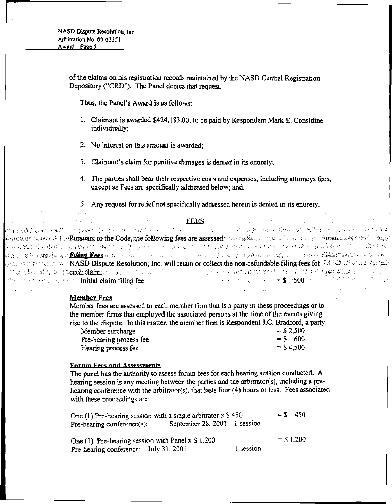> of the claims on his registration records maintained by the NASD Central Registration Depository ("CRD"). The Panel denies that request.

Thus, the Panel's Award is as follows:

- 1. Claimant is awarded \$424,183.00, to be paid by Respondent Mark E. Considine individually;
- 2. No interest on this amount is awarded;
- 3. Claimant's claim for punitive damages is denied in its entirety;
- 4. The parties shall bear their respective costs and expenses, including attorneys fees, except as Fees are specifically addressed below; and,
- 5. Any request for relief not specifically addressed herein is denied in its entirety.

| いっしゃ かいこうせいく きょくしょく アール・アール アール・シーン                                                                                                        | FEES A company of the second company of the second company of the second company of the second company of the second company of the second company of the second company of the second company of the second company of the se |  |
|--------------------------------------------------------------------------------------------------------------------------------------------|--------------------------------------------------------------------------------------------------------------------------------------------------------------------------------------------------------------------------------|--|
| 网络维奇特鲁斯克斯维特克特尔穆斯斯坦尼黎斯科斯卡维尔的第三人称形式 医小脑下腺 人名英格兰人姓氏阿尔克的变体 医眼镜 网络德国 网络德国海军 医神经管膜 化自动转移 计数字 医中枢                                                 |                                                                                                                                                                                                                                |  |
| pagang Magyakhhan <b>Pursuant to the Code, the following fees are assessed.</b> Who togals. Konstruct the same large growing the data of [ |                                                                                                                                                                                                                                |  |
| ട ഒരുള്ള മിള ജീത പ്രപ്പിക്കുമാന് ആണ് സാന്ത്രമായ സാന്തമായ സന്ധന പ്രത്യേകത്തിന് സാന്ത്രമായിപ്പികൾ കാര്ത്തോട് മാതാവ്കൾ 28 സ                   |                                                                                                                                                                                                                                |  |
| progingated an filing Fees and only to be not a service of the space of organization of the Nikitatives of Cock                            |                                                                                                                                                                                                                                |  |
| the transfer the NASD Dispute Resolution, Inc. will retain or collect the non-refundable filing fees for CASD (News1 Executive)            |                                                                                                                                                                                                                                |  |
| Approblement for politi <b>cach claim</b> is a constant to a second of a                                                                   | - The Control of the Apple State State State State State State State State State State State State State State                                                                                                                 |  |
| the state of the second in the <b>Initial claim filing fee</b>                                                                             | - John Form Product のみや Product <b>- \$10,500</b> Product の NEW Product の Product の P                                                                                                                                          |  |
|                                                                                                                                            |                                                                                                                                                                                                                                |  |

#### Member Fees

Member fees are assessed to each member firm that is a party in these proceedings or to the member firms that employed the associated persons at the time of the events giving rise to the dispute. In this matter, the member firm is Respondent J.C. Bradford, a party.<br>More auxiliary. Member surcharge = \$ 2,500

| IMCIDDCI PHICIPINE      | <b>COLLUM</b> |
|-------------------------|---------------|
| Pre-hearing process fee | $= $ 600$     |
| Hearing process fee     | $=$ \$4,500   |

### Forum Fees and Assessments

The panel has the authority to assess forum fees for each hearing session conducted. A hearing session is any meeting between the parties and the arbitrator(s), including a prehearing conference with the arbitrator(s), that lasts four (4) hours or less. Fees associated with these proceedings are:

| One (1) Pre-hearing session with a single arbitrator $x \$ 450 |                              | $=$ \$ 450 |
|----------------------------------------------------------------|------------------------------|------------|
| Pre-hearing conference(s):                                     | September 28, 2001 1 session |            |

One (1) Pre-hearing session with Panel x  $\frac{1}{200}$  = \$ 1,200 Pre-hearing conference: July 31, 2001 l session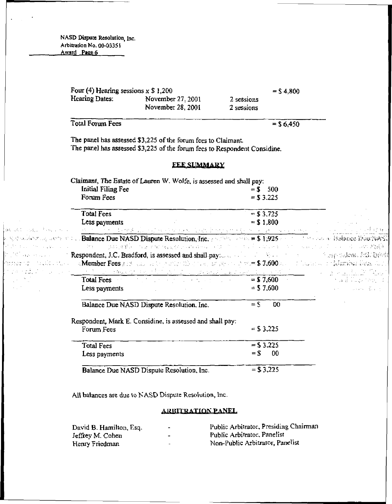> Four (4) Hearing sessions x  $$ 1,200$  =  $$ 4,800$ <br>Hearing Dates: November 27. 2001 2 sessions November 27, 2001 2 sessions<br>November 28, 2001 2 sessions November 28, 2001

> $Total Forum Fees$  =  $$6,450$

The panel has assessed \$3,225 of the forum fees to Claimant The panel has assessed \$3.225 of the forum fees to Respondent Considine.

#### **FEE SUMMARY**

Claimant, The Estate of Lauren W. Wolfe, is assessed and shall pay:<br> $\begin{array}{rcl} \text{Initial Filing} \text{Fe} & = \$ & 500 \end{array}$ Initial Filing Fee  $=$  \$ 500<br>Forum Fees  $=$  \$ 3.225 Forum Fees

|                                                                                                                                                                                                  | Total Fees<br>Less payments                                                                                                                                                                                                        | $= $3.725$<br>$= $1.800$ |                                            |
|--------------------------------------------------------------------------------------------------------------------------------------------------------------------------------------------------|------------------------------------------------------------------------------------------------------------------------------------------------------------------------------------------------------------------------------------|--------------------------|--------------------------------------------|
|                                                                                                                                                                                                  |                                                                                                                                                                                                                                    |                          |                                            |
|                                                                                                                                                                                                  | c そのふふいれた コウェアココ」Balance Due NASD Dispute Resolution, Inc. トルプティアン語 = \$ 4,925 ハード・オール こう Balance DourNAST                                                                                                                         |                          |                                            |
|                                                                                                                                                                                                  | e di massimo que se se se se per quiguido seu mundo por massimo de la componencia de seus se se seus de autorid                                                                                                                    |                          |                                            |
|                                                                                                                                                                                                  | Constitution of the Second Respondent, J.C. Bradford, is assessed and shall payment of the constitution of the subsequent full brack                                                                                               |                          |                                            |
|                                                                                                                                                                                                  | a Member Fees part and a construction that the property of the \$ 7.600 km of lands and printer fees. Also,                                                                                                                        |                          |                                            |
|                                                                                                                                                                                                  | n de had. Die der ei <u>ne ein der erkaanste en ekonomische progesaalde gegen die eerste teen verste gewone te dat tage</u>                                                                                                        |                          |                                            |
| $\label{eq:2.1} \mathcal{L}=\mathcal{L}^{\text{max}}\left(\mathcal{L}^{\text{max}}_{\text{max}}\right) \mathcal{L}^{\text{max}}_{\text{max}}\left(\mathcal{L}^{\text{max}}_{\text{max}}\right).$ | <b>Total Fees Executive Contract Contract Contract Contract Contract Contract Contract Contract Contract Contract Contract Contract Contract Contract Contract Contract Contract Contract Contract Contract Contract Contract </b> | $=$ \$7,600              | and the state of Cape they of              |
| <b>Carl March</b>                                                                                                                                                                                | Less payments                                                                                                                                                                                                                      | $=$ \$7,600              | the common state of the state of the state |
|                                                                                                                                                                                                  | Balance Due NASD Dispute Resolution, Inc.                                                                                                                                                                                          | -00<br>$=$ S             |                                            |
|                                                                                                                                                                                                  | Respondent, Mark E. Considine, is assessed and shall pay:                                                                                                                                                                          |                          |                                            |
|                                                                                                                                                                                                  | Forum Fees                                                                                                                                                                                                                         | $=$ \$ 3,225             |                                            |
|                                                                                                                                                                                                  | <b>Total Fees</b>                                                                                                                                                                                                                  | $=$ \$3.225              |                                            |
|                                                                                                                                                                                                  | Less payments                                                                                                                                                                                                                      | $= 5$<br>-00             |                                            |
|                                                                                                                                                                                                  | Balance Due NASD Dispute Resolution, Inc.                                                                                                                                                                                          | $= $3,225$               |                                            |

All balances are due to NASD Dispute Resolution, Inc.

## ARBITRATION PANEL

| David B. Hamilton, Esq. | -                        | Public Arbitrator, Presiding Chairman |
|-------------------------|--------------------------|---------------------------------------|
| Jeffrey M. Cohen        | $\bullet$                | Public Arbitrator, Panelist           |
| Henry Friedman          | $\overline{\phantom{0}}$ | Non-Public Arbitrator, Panelist       |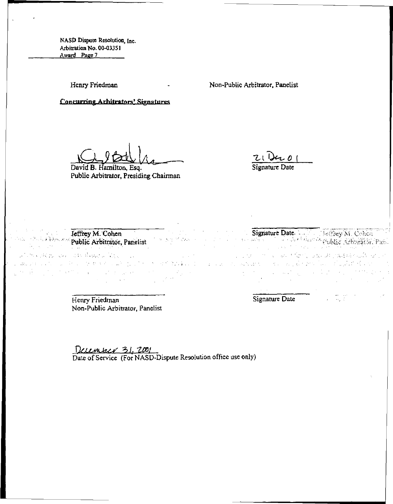Henry Friedman

Non-Public Arbitrator, Panelist

Concurring Arhitrators' Signatures

David B. Hamilton, Esq. Public Arbitrator, Presiding Chairman

Z<sub>U</sub> Der 0 1

Signature Date Collective W. Cohen

 $\mathcal{L}_{\text{max}}$ 

アルセート しょうぶつ かたり しめしおけぬほね ねい

 $\label{eq:2} \mathcal{L} = \left\{ \mathbf{e}^{\frac{1}{2} \mathbf{e}_1} \mathbf{e}_2^{\frac{1}{2} \mathbf{e}_2} \mathbf{e}_3^{\frac{1}{2} \mathbf{e}_3} \mathbf{e}_4^{\frac{1}{2} \mathbf{e}_4} \mathbf{e}_5^{\frac{1}{2} \mathbf{e}_5} \mathbf{e}_5^{\frac{1}{2} \mathbf{e}_6} \mathbf{e}_6^{\frac{1}{2} \mathbf{e}_7} \mathbf{e}_7^{\frac{1}{2} \mathbf{e}_8} \mathbf{e}_7^{\frac{1}{2} \mathbf{$ 

Jeffrey M.Cohen Public Arbitrator, Panelist

Alimadelphia and depoted in the compared to confident that the whole 化链氮化 医细胞 经应付的金融

> Henry Friedman Non-Public Arbitrator, Panelist

Signature Date

a se forma de la composición de la composición de la composición de la composición de la composición de la com

 $\mathcal{A}^{\mathcal{A}}_{\mathcal{A}}$  ,  $\mathcal{A}^{\mathcal{A}}_{\mathcal{A}}$  ,  $\mathcal{A}^{\mathcal{A}}_{\mathcal{A}}$ 

December 31, 2001 Date of Service (For NASD-Dispute Resolution office use only)

i se poj Mara

 $\mathcal{L}(\mathcal{I})$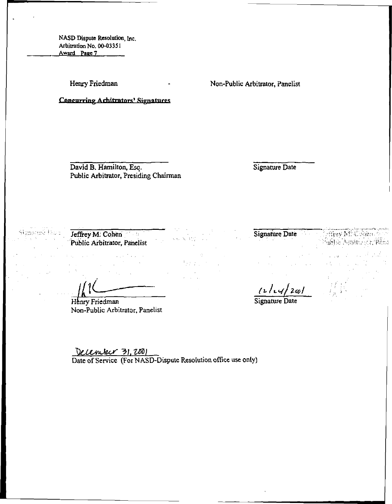Henry Friedman 1986 . Non-Public Arbitrator, Panelist

David B. Hamilton, Esq. Public Arbitrator, Presiding Chairman

Concurring Arhitrators' Signatures

Signature Date

Jeffrey M. Cohen Public Arbitrator, Panelist

Henry Friedman Non-Public Arbitrator, Panelist

December 31, 2001

Date of Service (For NASD-Dispute Resolution office use only)

机磁 医白细胞

Signature Date

 $\frac{1+\sqrt{2\omega}}{2\pi}$ 

fublic Monte et Philo

After M. Cohen.